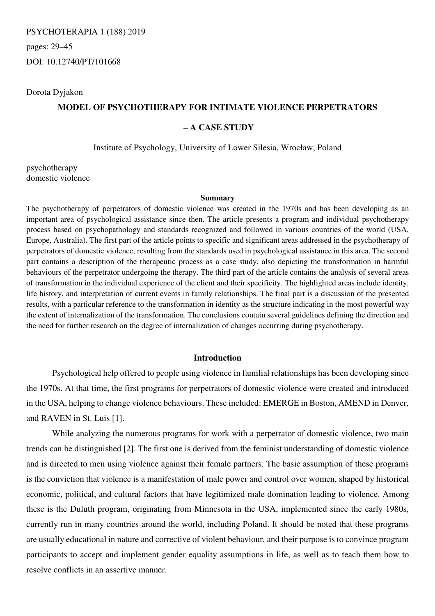PSYCHOTERAPIA 1 (188) 2019 pages: 29–45 DOI: 10.12740/PT/101668

## Dorota Dyjakon

# **MODEL OF PSYCHOTHERAPY FOR INTIMATE VIOLENCE PERPETRATORS**

# **– A CASE STUDY**

Institute of Psychology, University of Lower Silesia, Wrocław, Poland

psychotherapy domestic violence

#### **Summary**

The psychotherapy of perpetrators of domestic violence was created in the 1970s and has been developing as an important area of psychological assistance since then. The article presents a program and individual psychotherapy process based on psychopathology and standards recognized and followed in various countries of the world (USA, Europe, Australia). The first part of the article points to specific and significant areas addressed in the psychotherapy of perpetrators of domestic violence, resulting from the standards used in psychological assistance in this area. The second part contains a description of the therapeutic process as a case study, also depicting the transformation in harmful behaviours of the perpetrator undergoing the therapy. The third part of the article contains the analysis of several areas of transformation in the individual experience of the client and their specificity. The highlighted areas include identity, life history, and interpretation of current events in family relationships. The final part is a discussion of the presented results, with a particular reference to the transformation in identity as the structure indicating in the most powerful way the extent of internalization of the transformation. The conclusions contain several guidelines defining the direction and the need for further research on the degree of internalization of changes occurring during psychotherapy.

## **Introduction**

Psychological help offered to people using violence in familial relationships has been developing since the 1970s. At that time, the first programs for perpetrators of domestic violence were created and introduced in the USA, helping to change violence behaviours. These included: EMERGE in Boston, AMEND in Denver, and RAVEN in St. Luis [1].

While analyzing the numerous programs for work with a perpetrator of domestic violence, two main trends can be distinguished [2]. The first one is derived from the feminist understanding of domestic violence and is directed to men using violence against their female partners. The basic assumption of these programs is the conviction that violence is a manifestation of male power and control over women, shaped by historical economic, political, and cultural factors that have legitimized male domination leading to violence. Among these is the Duluth program, originating from Minnesota in the USA, implemented since the early 1980s, currently run in many countries around the world, including Poland. It should be noted that these programs are usually educational in nature and corrective of violent behaviour, and their purpose is to convince program participants to accept and implement gender equality assumptions in life, as well as to teach them how to resolve conflicts in an assertive manner.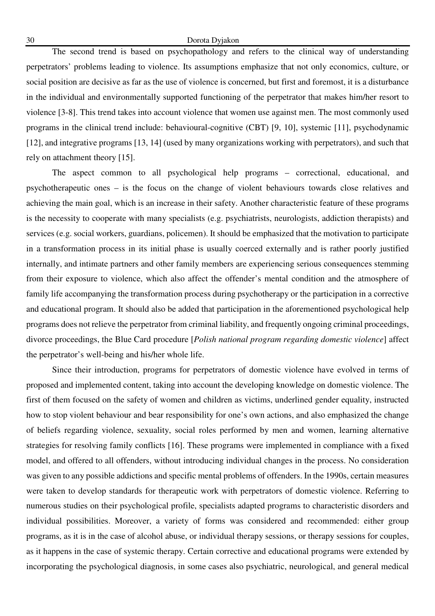## 30 Dorota Dyjakon

The second trend is based on psychopathology and refers to the clinical way of understanding perpetrators' problems leading to violence. Its assumptions emphasize that not only economics, culture, or social position are decisive as far as the use of violence is concerned, but first and foremost, it is a disturbance in the individual and environmentally supported functioning of the perpetrator that makes him/her resort to violence [3-8]. This trend takes into account violence that women use against men. The most commonly used programs in the clinical trend include: behavioural-cognitive (CBT) [9, 10], systemic [11], psychodynamic [12], and integrative programs [13, 14] (used by many organizations working with perpetrators), and such that rely on attachment theory [15].

The aspect common to all psychological help programs – correctional, educational, and psychotherapeutic ones – is the focus on the change of violent behaviours towards close relatives and achieving the main goal, which is an increase in their safety. Another characteristic feature of these programs is the necessity to cooperate with many specialists (e.g. psychiatrists, neurologists, addiction therapists) and services (e.g. social workers, guardians, policemen). It should be emphasized that the motivation to participate in a transformation process in its initial phase is usually coerced externally and is rather poorly justified internally, and intimate partners and other family members are experiencing serious consequences stemming from their exposure to violence, which also affect the offender's mental condition and the atmosphere of family life accompanying the transformation process during psychotherapy or the participation in a corrective and educational program. It should also be added that participation in the aforementioned psychological help programs does not relieve the perpetrator from criminal liability, and frequently ongoing criminal proceedings, divorce proceedings, the Blue Card procedure [*Polish national program regarding domestic violence*] affect the perpetrator's well-being and his/her whole life.

Since their introduction, programs for perpetrators of domestic violence have evolved in terms of proposed and implemented content, taking into account the developing knowledge on domestic violence. The first of them focused on the safety of women and children as victims, underlined gender equality, instructed how to stop violent behaviour and bear responsibility for one's own actions, and also emphasized the change of beliefs regarding violence, sexuality, social roles performed by men and women, learning alternative strategies for resolving family conflicts [16]. These programs were implemented in compliance with a fixed model, and offered to all offenders, without introducing individual changes in the process. No consideration was given to any possible addictions and specific mental problems of offenders. In the 1990s, certain measures were taken to develop standards for therapeutic work with perpetrators of domestic violence. Referring to numerous studies on their psychological profile, specialists adapted programs to characteristic disorders and individual possibilities. Moreover, a variety of forms was considered and recommended: either group programs, as it is in the case of alcohol abuse, or individual therapy sessions, or therapy sessions for couples, as it happens in the case of systemic therapy. Certain corrective and educational programs were extended by incorporating the psychological diagnosis, in some cases also psychiatric, neurological, and general medical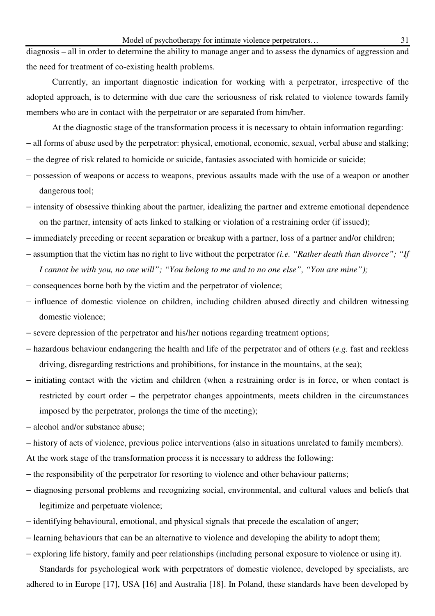diagnosis – all in order to determine the ability to manage anger and to assess the dynamics of aggression and the need for treatment of co-existing health problems.

Currently, an important diagnostic indication for working with a perpetrator, irrespective of the adopted approach, is to determine with due care the seriousness of risk related to violence towards family members who are in contact with the perpetrator or are separated from him/her.

At the diagnostic stage of the transformation process it is necessary to obtain information regarding: − all forms of abuse used by the perpetrator: physical, emotional, economic, sexual, verbal abuse and stalking;

- − the degree of risk related to homicide or suicide, fantasies associated with homicide or suicide;
- − possession of weapons or access to weapons, previous assaults made with the use of a weapon or another dangerous tool;
- − intensity of obsessive thinking about the partner, idealizing the partner and extreme emotional dependence on the partner, intensity of acts linked to stalking or violation of a restraining order (if issued);
- − immediately preceding or recent separation or breakup with a partner, loss of a partner and/or children;
- − assumption that the victim has no right to live without the perpetrator *(i.e. "Rather death than divorce"; "If I cannot be with you, no one will"; "You belong to me and to no one else", "You are mine");*
- − consequences borne both by the victim and the perpetrator of violence;
- − influence of domestic violence on children, including children abused directly and children witnessing domestic violence;
- − severe depression of the perpetrator and his/her notions regarding treatment options;
- − hazardous behaviour endangering the health and life of the perpetrator and of others (*e.g.* fast and reckless driving, disregarding restrictions and prohibitions, for instance in the mountains, at the sea);
- − initiating contact with the victim and children (when a restraining order is in force, or when contact is restricted by court order – the perpetrator changes appointments, meets children in the circumstances imposed by the perpetrator, prolongs the time of the meeting);
- − alcohol and/or substance abuse;
- − history of acts of violence, previous police interventions (also in situations unrelated to family members).
- At the work stage of the transformation process it is necessary to address the following:
- − the responsibility of the perpetrator for resorting to violence and other behaviour patterns;
- − diagnosing personal problems and recognizing social, environmental, and cultural values and beliefs that legitimize and perpetuate violence;
- − identifying behavioural, emotional, and physical signals that precede the escalation of anger;
- − learning behaviours that can be an alternative to violence and developing the ability to adopt them;
- − exploring life history, family and peer relationships (including personal exposure to violence or using it).

Standards for psychological work with perpetrators of domestic violence, developed by specialists, are adhered to in Europe [17], USA [16] and Australia [18]. In Poland, these standards have been developed by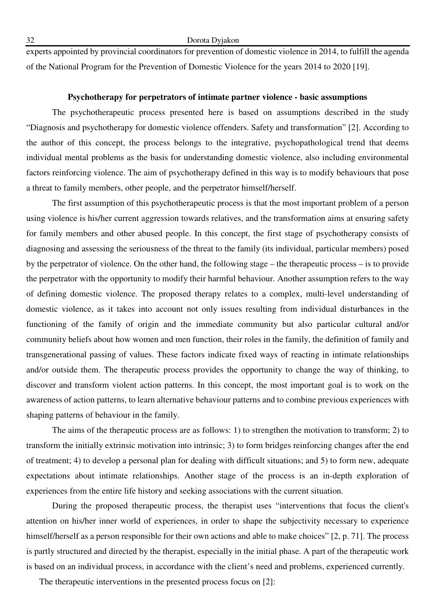experts appointed by provincial coordinators for prevention of domestic violence in 2014, to fulfill the agenda of the National Program for the Prevention of Domestic Violence for the years 2014 to 2020 [19].

## **Psychotherapy for perpetrators of intimate partner violence - basic assumptions**

The psychotherapeutic process presented here is based on assumptions described in the study "Diagnosis and psychotherapy for domestic violence offenders. Safety and transformation" [2]. According to the author of this concept, the process belongs to the integrative, psychopathological trend that deems individual mental problems as the basis for understanding domestic violence, also including environmental factors reinforcing violence. The aim of psychotherapy defined in this way is to modify behaviours that pose a threat to family members, other people, and the perpetrator himself/herself.

The first assumption of this psychotherapeutic process is that the most important problem of a person using violence is his/her current aggression towards relatives, and the transformation aims at ensuring safety for family members and other abused people. In this concept, the first stage of psychotherapy consists of diagnosing and assessing the seriousness of the threat to the family (its individual, particular members) posed by the perpetrator of violence. On the other hand, the following stage – the therapeutic process – is to provide the perpetrator with the opportunity to modify their harmful behaviour. Another assumption refers to the way of defining domestic violence. The proposed therapy relates to a complex, multi-level understanding of domestic violence, as it takes into account not only issues resulting from individual disturbances in the functioning of the family of origin and the immediate community but also particular cultural and/or community beliefs about how women and men function, their roles in the family, the definition of family and transgenerational passing of values. These factors indicate fixed ways of reacting in intimate relationships and/or outside them. The therapeutic process provides the opportunity to change the way of thinking, to discover and transform violent action patterns. In this concept, the most important goal is to work on the awareness of action patterns, to learn alternative behaviour patterns and to combine previous experiences with shaping patterns of behaviour in the family.

The aims of the therapeutic process are as follows: 1) to strengthen the motivation to transform; 2) to transform the initially extrinsic motivation into intrinsic; 3) to form bridges reinforcing changes after the end of treatment; 4) to develop a personal plan for dealing with difficult situations; and 5) to form new, adequate expectations about intimate relationships. Another stage of the process is an in-depth exploration of experiences from the entire life history and seeking associations with the current situation.

During the proposed therapeutic process, the therapist uses "interventions that focus the client's attention on his/her inner world of experiences, in order to shape the subjectivity necessary to experience himself/herself as a person responsible for their own actions and able to make choices" [2, p. 71]. The process is partly structured and directed by the therapist, especially in the initial phase. A part of the therapeutic work is based on an individual process, in accordance with the client's need and problems, experienced currently.

The therapeutic interventions in the presented process focus on [2]: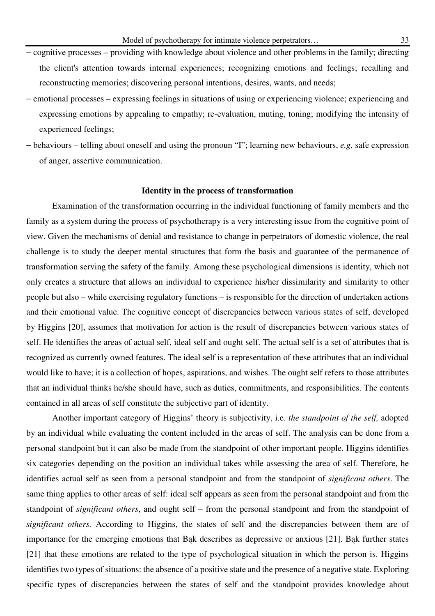- − cognitive processes providing with knowledge about violence and other problems in the family; directing the client's attention towards internal experiences; recognizing emotions and feelings; recalling and reconstructing memories; discovering personal intentions, desires, wants, and needs;
- − emotional processes expressing feelings in situations of using or experiencing violence; experiencing and expressing emotions by appealing to empathy; re-evaluation, muting, toning; modifying the intensity of experienced feelings;
- − behaviours telling about oneself and using the pronoun "I"; learning new behaviours, *e.g.* safe expression of anger, assertive communication.

#### **Identity in the process of transformation**

Examination of the transformation occurring in the individual functioning of family members and the family as a system during the process of psychotherapy is a very interesting issue from the cognitive point of view. Given the mechanisms of denial and resistance to change in perpetrators of domestic violence, the real challenge is to study the deeper mental structures that form the basis and guarantee of the permanence of transformation serving the safety of the family. Among these psychological dimensions is identity, which not only creates a structure that allows an individual to experience his/her dissimilarity and similarity to other people but also – while exercising regulatory functions – is responsible for the direction of undertaken actions and their emotional value. The cognitive concept of discrepancies between various states of self, developed by Higgins [20], assumes that motivation for action is the result of discrepancies between various states of self. He identifies the areas of actual self, ideal self and ought self. The actual self is a set of attributes that is recognized as currently owned features. The ideal self is a representation of these attributes that an individual would like to have; it is a collection of hopes, aspirations, and wishes. The ought self refers to those attributes that an individual thinks he/she should have, such as duties, commitments, and responsibilities. The contents contained in all areas of self constitute the subjective part of identity.

Another important category of Higgins' theory is subjectivity, i.e. *the standpoint of the self,* adopted by an individual while evaluating the content included in the areas of self. The analysis can be done from a personal standpoint but it can also be made from the standpoint of other important people. Higgins identifies six categories depending on the position an individual takes while assessing the area of self. Therefore, he identifies actual self as seen from a personal standpoint and from the standpoint of *significant others*. The same thing applies to other areas of self: ideal self appears as seen from the personal standpoint and from the standpoint of *significant others*, and ought self – from the personal standpoint and from the standpoint of *significant others.* According to Higgins, the states of self and the discrepancies between them are of importance for the emerging emotions that Bąk describes as depressive or anxious [21]. Bąk further states [21] that these emotions are related to the type of psychological situation in which the person is. Higgins identifies two types of situations: the absence of a positive state and the presence of a negative state. Exploring specific types of discrepancies between the states of self and the standpoint provides knowledge about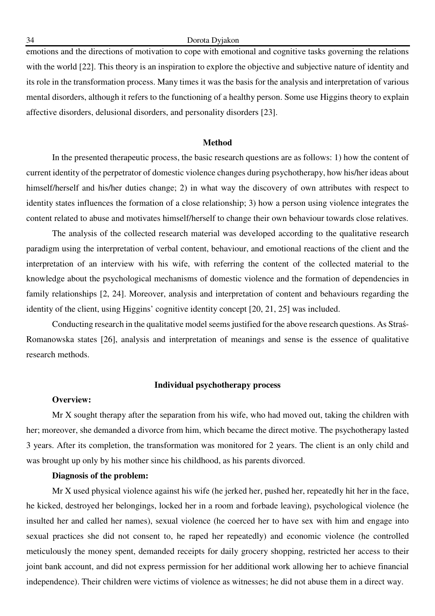emotions and the directions of motivation to cope with emotional and cognitive tasks governing the relations with the world [22]. This theory is an inspiration to explore the objective and subjective nature of identity and its role in the transformation process. Many times it was the basis for the analysis and interpretation of various mental disorders, although it refers to the functioning of a healthy person. Some use Higgins theory to explain affective disorders, delusional disorders, and personality disorders [23].

## **Method**

In the presented therapeutic process, the basic research questions are as follows: 1) how the content of current identity of the perpetrator of domestic violence changes during psychotherapy, how his/her ideas about himself/herself and his/her duties change; 2) in what way the discovery of own attributes with respect to identity states influences the formation of a close relationship; 3) how a person using violence integrates the content related to abuse and motivates himself/herself to change their own behaviour towards close relatives.

The analysis of the collected research material was developed according to the qualitative research paradigm using the interpretation of verbal content, behaviour, and emotional reactions of the client and the interpretation of an interview with his wife, with referring the content of the collected material to the knowledge about the psychological mechanisms of domestic violence and the formation of dependencies in family relationships [2, 24]. Moreover, analysis and interpretation of content and behaviours regarding the identity of the client, using Higgins' cognitive identity concept [20, 21, 25] was included.

Conducting research in the qualitative model seems justified for the above research questions. As Straś-Romanowska states [26], analysis and interpretation of meanings and sense is the essence of qualitative research methods.

## **Individual psychotherapy process**

## **Overview:**

Mr X sought therapy after the separation from his wife, who had moved out, taking the children with her; moreover, she demanded a divorce from him, which became the direct motive. The psychotherapy lasted 3 years. After its completion, the transformation was monitored for 2 years. The client is an only child and was brought up only by his mother since his childhood, as his parents divorced.

## **Diagnosis of the problem:**

Mr X used physical violence against his wife (he jerked her, pushed her, repeatedly hit her in the face, he kicked, destroyed her belongings, locked her in a room and forbade leaving), psychological violence (he insulted her and called her names), sexual violence (he coerced her to have sex with him and engage into sexual practices she did not consent to, he raped her repeatedly) and economic violence (he controlled meticulously the money spent, demanded receipts for daily grocery shopping, restricted her access to their joint bank account, and did not express permission for her additional work allowing her to achieve financial independence). Their children were victims of violence as witnesses; he did not abuse them in a direct way.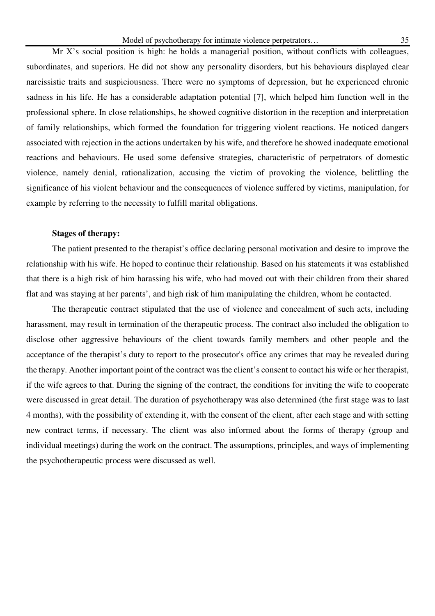Mr X's social position is high: he holds a managerial position, without conflicts with colleagues, subordinates, and superiors. He did not show any personality disorders, but his behaviours displayed clear narcissistic traits and suspiciousness. There were no symptoms of depression, but he experienced chronic sadness in his life. He has a considerable adaptation potential [7], which helped him function well in the professional sphere. In close relationships, he showed cognitive distortion in the reception and interpretation of family relationships, which formed the foundation for triggering violent reactions. He noticed dangers associated with rejection in the actions undertaken by his wife, and therefore he showed inadequate emotional reactions and behaviours. He used some defensive strategies, characteristic of perpetrators of domestic violence, namely denial, rationalization, accusing the victim of provoking the violence, belittling the significance of his violent behaviour and the consequences of violence suffered by victims, manipulation, for example by referring to the necessity to fulfill marital obligations.

## **Stages of therapy:**

The patient presented to the therapist's office declaring personal motivation and desire to improve the relationship with his wife. He hoped to continue their relationship. Based on his statements it was established that there is a high risk of him harassing his wife, who had moved out with their children from their shared flat and was staying at her parents', and high risk of him manipulating the children, whom he contacted.

The therapeutic contract stipulated that the use of violence and concealment of such acts, including harassment, may result in termination of the therapeutic process. The contract also included the obligation to disclose other aggressive behaviours of the client towards family members and other people and the acceptance of the therapist's duty to report to the prosecutor's office any crimes that may be revealed during the therapy. Another important point of the contract was the client's consent to contact his wife or her therapist, if the wife agrees to that. During the signing of the contract, the conditions for inviting the wife to cooperate were discussed in great detail. The duration of psychotherapy was also determined (the first stage was to last 4 months), with the possibility of extending it, with the consent of the client, after each stage and with setting new contract terms, if necessary. The client was also informed about the forms of therapy (group and individual meetings) during the work on the contract. The assumptions, principles, and ways of implementing the psychotherapeutic process were discussed as well.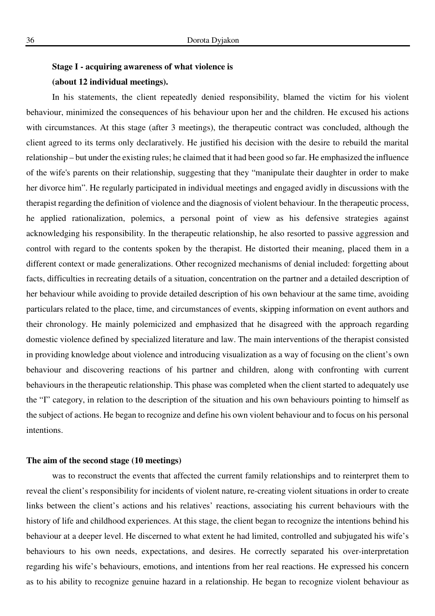# **Stage I - acquiring awareness of what violence is**

## **(about 12 individual meetings).**

In his statements, the client repeatedly denied responsibility, blamed the victim for his violent behaviour, minimized the consequences of his behaviour upon her and the children. He excused his actions with circumstances. At this stage (after 3 meetings), the therapeutic contract was concluded, although the client agreed to its terms only declaratively. He justified his decision with the desire to rebuild the marital relationship – but under the existing rules; he claimed that it had been good so far. He emphasized the influence of the wife's parents on their relationship, suggesting that they "manipulate their daughter in order to make her divorce him". He regularly participated in individual meetings and engaged avidly in discussions with the therapist regarding the definition of violence and the diagnosis of violent behaviour. In the therapeutic process, he applied rationalization, polemics, a personal point of view as his defensive strategies against acknowledging his responsibility. In the therapeutic relationship, he also resorted to passive aggression and control with regard to the contents spoken by the therapist. He distorted their meaning, placed them in a different context or made generalizations. Other recognized mechanisms of denial included: forgetting about facts, difficulties in recreating details of a situation, concentration on the partner and a detailed description of her behaviour while avoiding to provide detailed description of his own behaviour at the same time, avoiding particulars related to the place, time, and circumstances of events, skipping information on event authors and their chronology. He mainly polemicized and emphasized that he disagreed with the approach regarding domestic violence defined by specialized literature and law. The main interventions of the therapist consisted in providing knowledge about violence and introducing visualization as a way of focusing on the client's own behaviour and discovering reactions of his partner and children, along with confronting with current behaviours in the therapeutic relationship. This phase was completed when the client started to adequately use the "I" category, in relation to the description of the situation and his own behaviours pointing to himself as the subject of actions. He began to recognize and define his own violent behaviour and to focus on his personal intentions.

## **The aim of the second stage (10 meetings)**

was to reconstruct the events that affected the current family relationships and to reinterpret them to reveal the client's responsibility for incidents of violent nature, re-creating violent situations in order to create links between the client's actions and his relatives' reactions, associating his current behaviours with the history of life and childhood experiences. At this stage, the client began to recognize the intentions behind his behaviour at a deeper level. He discerned to what extent he had limited, controlled and subjugated his wife's behaviours to his own needs, expectations, and desires. He correctly separated his over-interpretation regarding his wife's behaviours, emotions, and intentions from her real reactions. He expressed his concern as to his ability to recognize genuine hazard in a relationship. He began to recognize violent behaviour as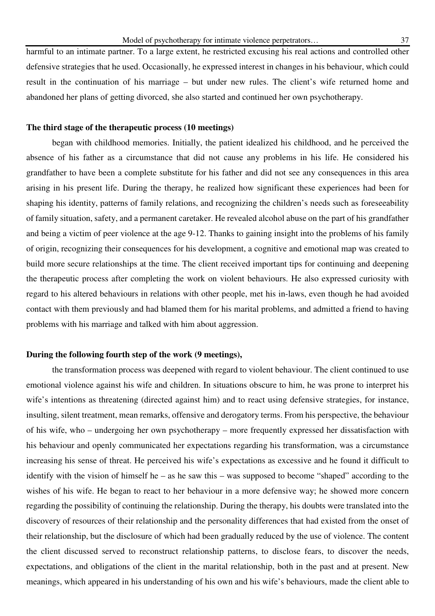harmful to an intimate partner. To a large extent, he restricted excusing his real actions and controlled other defensive strategies that he used. Occasionally, he expressed interest in changes in his behaviour, which could result in the continuation of his marriage – but under new rules. The client's wife returned home and abandoned her plans of getting divorced, she also started and continued her own psychotherapy.

## **The third stage of the therapeutic process (10 meetings)**

began with childhood memories. Initially, the patient idealized his childhood, and he perceived the absence of his father as a circumstance that did not cause any problems in his life. He considered his grandfather to have been a complete substitute for his father and did not see any consequences in this area arising in his present life. During the therapy, he realized how significant these experiences had been for shaping his identity, patterns of family relations, and recognizing the children's needs such as foreseeability of family situation, safety, and a permanent caretaker. He revealed alcohol abuse on the part of his grandfather and being a victim of peer violence at the age 9-12. Thanks to gaining insight into the problems of his family of origin, recognizing their consequences for his development, a cognitive and emotional map was created to build more secure relationships at the time. The client received important tips for continuing and deepening the therapeutic process after completing the work on violent behaviours. He also expressed curiosity with regard to his altered behaviours in relations with other people, met his in-laws, even though he had avoided contact with them previously and had blamed them for his marital problems, and admitted a friend to having problems with his marriage and talked with him about aggression.

## **During the following fourth step of the work (9 meetings),**

the transformation process was deepened with regard to violent behaviour. The client continued to use emotional violence against his wife and children. In situations obscure to him, he was prone to interpret his wife's intentions as threatening (directed against him) and to react using defensive strategies, for instance, insulting, silent treatment, mean remarks, offensive and derogatory terms. From his perspective, the behaviour of his wife, who – undergoing her own psychotherapy – more frequently expressed her dissatisfaction with his behaviour and openly communicated her expectations regarding his transformation, was a circumstance increasing his sense of threat. He perceived his wife's expectations as excessive and he found it difficult to identify with the vision of himself he – as he saw this – was supposed to become "shaped" according to the wishes of his wife. He began to react to her behaviour in a more defensive way; he showed more concern regarding the possibility of continuing the relationship. During the therapy, his doubts were translated into the discovery of resources of their relationship and the personality differences that had existed from the onset of their relationship, but the disclosure of which had been gradually reduced by the use of violence. The content the client discussed served to reconstruct relationship patterns, to disclose fears, to discover the needs, expectations, and obligations of the client in the marital relationship, both in the past and at present. New meanings, which appeared in his understanding of his own and his wife's behaviours, made the client able to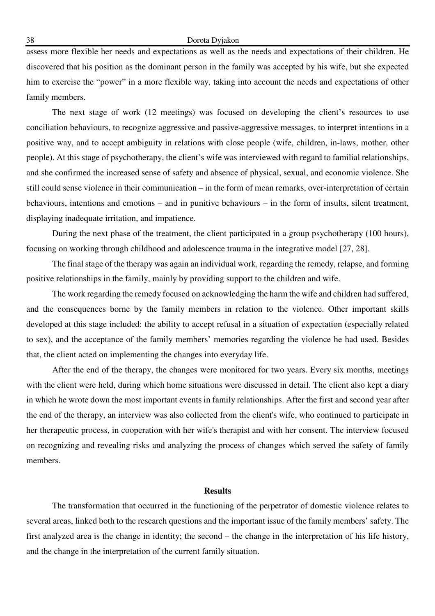#### 38 Dorota Dyjakon

assess more flexible her needs and expectations as well as the needs and expectations of their children. He discovered that his position as the dominant person in the family was accepted by his wife, but she expected him to exercise the "power" in a more flexible way, taking into account the needs and expectations of other family members.

The next stage of work (12 meetings) was focused on developing the client's resources to use conciliation behaviours, to recognize aggressive and passive-aggressive messages, to interpret intentions in a positive way, and to accept ambiguity in relations with close people (wife, children, in-laws, mother, other people). At this stage of psychotherapy, the client's wife was interviewed with regard to familial relationships, and she confirmed the increased sense of safety and absence of physical, sexual, and economic violence. She still could sense violence in their communication – in the form of mean remarks, over-interpretation of certain behaviours, intentions and emotions – and in punitive behaviours – in the form of insults, silent treatment, displaying inadequate irritation, and impatience.

During the next phase of the treatment, the client participated in a group psychotherapy (100 hours), focusing on working through childhood and adolescence trauma in the integrative model [27, 28].

The final stage of the therapy was again an individual work, regarding the remedy, relapse, and forming positive relationships in the family, mainly by providing support to the children and wife.

The work regarding the remedy focused on acknowledging the harm the wife and children had suffered, and the consequences borne by the family members in relation to the violence. Other important skills developed at this stage included: the ability to accept refusal in a situation of expectation (especially related to sex), and the acceptance of the family members' memories regarding the violence he had used. Besides that, the client acted on implementing the changes into everyday life.

After the end of the therapy, the changes were monitored for two years. Every six months, meetings with the client were held, during which home situations were discussed in detail. The client also kept a diary in which he wrote down the most important events in family relationships. After the first and second year after the end of the therapy, an interview was also collected from the client's wife, who continued to participate in her therapeutic process, in cooperation with her wife's therapist and with her consent. The interview focused on recognizing and revealing risks and analyzing the process of changes which served the safety of family members.

## **Results**

The transformation that occurred in the functioning of the perpetrator of domestic violence relates to several areas, linked both to the research questions and the important issue of the family members' safety. The first analyzed area is the change in identity; the second – the change in the interpretation of his life history, and the change in the interpretation of the current family situation.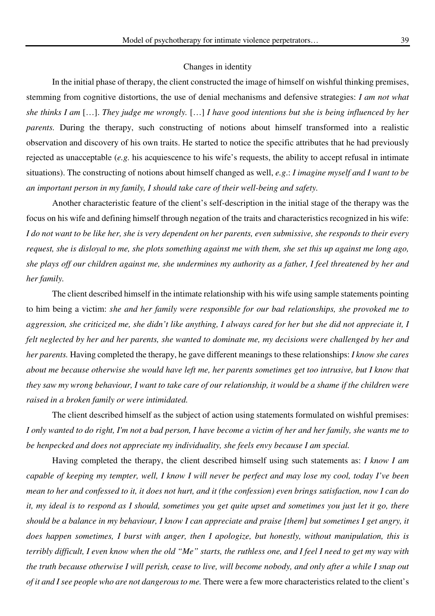#### Changes in identity

In the initial phase of therapy, the client constructed the image of himself on wishful thinking premises, stemming from cognitive distortions, the use of denial mechanisms and defensive strategies: *I am not what she thinks I am* […]. *They judge me wrongly.* […] *I have good intentions but she is being influenced by her parents.* During the therapy, such constructing of notions about himself transformed into a realistic observation and discovery of his own traits. He started to notice the specific attributes that he had previously rejected as unacceptable (*e.g.* his acquiescence to his wife's requests, the ability to accept refusal in intimate situations). The constructing of notions about himself changed as well, *e.g*.: *I imagine myself and I want to be an important person in my family, I should take care of their well-being and safety.*

Another characteristic feature of the client's self-description in the initial stage of the therapy was the focus on his wife and defining himself through negation of the traits and characteristics recognized in his wife: *I do not want to be like her, she is very dependent on her parents, even submissive, she responds to their every request, she is disloyal to me, she plots something against me with them, she set this up against me long ago, she plays off our children against me, she undermines my authority as a father, I feel threatened by her and her family.* 

The client described himself in the intimate relationship with his wife using sample statements pointing to him being a victim: *she and her family were responsible for our bad relationships, she provoked me to aggression, she criticized me, she didn't like anything, I always cared for her but she did not appreciate it, I felt neglected by her and her parents, she wanted to dominate me, my decisions were challenged by her and her parents.* Having completed the therapy, he gave different meanings to these relationships: *I know she cares about me because otherwise she would have left me, her parents sometimes get too intrusive, but I know that they saw my wrong behaviour, I want to take care of our relationship, it would be a shame if the children were raised in a broken family or were intimidated.*

The client described himself as the subject of action using statements formulated on wishful premises: *I only wanted to do right, I'm not a bad person, I have become a victim of her and her family, she wants me to be henpecked and does not appreciate my individuality, she feels envy because I am special.*

Having completed the therapy, the client described himself using such statements as: *I know I am capable of keeping my tempter, well, I know I will never be perfect and may lose my cool, today I've been mean to her and confessed to it, it does not hurt, and it (the confession) even brings satisfaction, now I can do it, my ideal is to respond as I should, sometimes you get quite upset and sometimes you just let it go, there should be a balance in my behaviour, I know I can appreciate and praise [them] but sometimes I get angry, it does happen sometimes, I burst with anger, then I apologize, but honestly, without manipulation, this is terribly difficult, I even know when the old "Me" starts, the ruthless one, and I feel I need to get my way with the truth because otherwise I will perish, cease to live, will become nobody, and only after a while I snap out of it and I see people who are not dangerous to me.* There were a few more characteristics related to the client's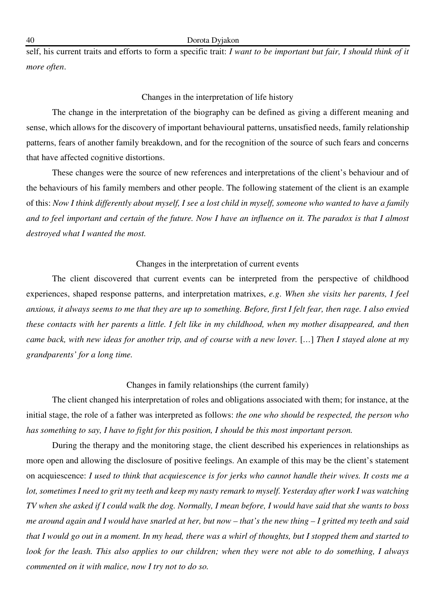self, his current traits and efforts to form a specific trait: *I want to be important but fair, I should think of it more often*.

## Changes in the interpretation of life history

The change in the interpretation of the biography can be defined as giving a different meaning and sense, which allows for the discovery of important behavioural patterns, unsatisfied needs, family relationship patterns, fears of another family breakdown, and for the recognition of the source of such fears and concerns that have affected cognitive distortions.

These changes were the source of new references and interpretations of the client's behaviour and of the behaviours of his family members and other people. The following statement of the client is an example of this: *Now I think differently about myself, I see a lost child in myself, someone who wanted to have a family and to feel important and certain of the future. Now I have an influence on it. The paradox is that I almost destroyed what I wanted the most.*

## Changes in the interpretation of current events

The client discovered that current events can be interpreted from the perspective of childhood experiences, shaped response patterns, and interpretation matrixes, *e.g*. *When she visits her parents, I feel anxious, it always seems to me that they are up to something. Before, first I felt fear, then rage. I also envied these contacts with her parents a little. I felt like in my childhood, when my mother disappeared, and then came back, with new ideas for another trip, and of course with a new lover.* [...] *Then I stayed alone at my grandparents' for a long time.* 

## Changes in family relationships (the current family)

The client changed his interpretation of roles and obligations associated with them; for instance, at the initial stage, the role of a father was interpreted as follows: *the one who should be respected, the person who has something to say, I have to fight for this position, I should be this most important person.*

During the therapy and the monitoring stage, the client described his experiences in relationships as more open and allowing the disclosure of positive feelings. An example of this may be the client's statement on acquiescence: *I used to think that acquiescence is for jerks who cannot handle their wives. It costs me a*  lot, sometimes I need to grit my teeth and keep my nasty remark to myself. Yesterday after work I was watching *TV when she asked if I could walk the dog. Normally, I mean before, I would have said that she wants to boss me around again and I would have snarled at her, but now – that's the new thing – I gritted my teeth and said that I would go out in a moment. In my head, there was a whirl of thoughts, but I stopped them and started to look for the leash. This also applies to our children; when they were not able to do something, I always commented on it with malice, now I try not to do so.*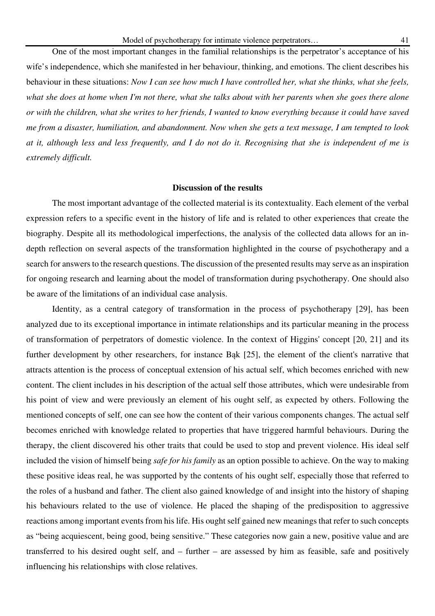One of the most important changes in the familial relationships is the perpetrator's acceptance of his wife's independence, which she manifested in her behaviour, thinking, and emotions. The client describes his behaviour in these situations: *Now I can see how much I have controlled her, what she thinks, what she feels, what she does at home when I'm not there, what she talks about with her parents when she goes there alone or with the children, what she writes to her friends, I wanted to know everything because it could have saved me from a disaster, humiliation, and abandonment. Now when she gets a text message, I am tempted to look at it, although less and less frequently, and I do not do it. Recognising that she is independent of me is extremely difficult.* 

## **Discussion of the results**

The most important advantage of the collected material is its contextuality. Each element of the verbal expression refers to a specific event in the history of life and is related to other experiences that create the biography. Despite all its methodological imperfections, the analysis of the collected data allows for an indepth reflection on several aspects of the transformation highlighted in the course of psychotherapy and a search for answers to the research questions. The discussion of the presented results may serve as an inspiration for ongoing research and learning about the model of transformation during psychotherapy. One should also be aware of the limitations of an individual case analysis.

Identity, as a central category of transformation in the process of psychotherapy [29], has been analyzed due to its exceptional importance in intimate relationships and its particular meaning in the process of transformation of perpetrators of domestic violence. In the context of Higgins' concept [20, 21] and its further development by other researchers, for instance Bąk [25], the element of the client's narrative that attracts attention is the process of conceptual extension of his actual self, which becomes enriched with new content. The client includes in his description of the actual self those attributes, which were undesirable from his point of view and were previously an element of his ought self, as expected by others. Following the mentioned concepts of self, one can see how the content of their various components changes. The actual self becomes enriched with knowledge related to properties that have triggered harmful behaviours. During the therapy, the client discovered his other traits that could be used to stop and prevent violence. His ideal self included the vision of himself being *safe for his family* as an option possible to achieve. On the way to making these positive ideas real, he was supported by the contents of his ought self, especially those that referred to the roles of a husband and father. The client also gained knowledge of and insight into the history of shaping his behaviours related to the use of violence. He placed the shaping of the predisposition to aggressive reactions among important events from his life. His ought self gained new meanings that refer to such concepts as "being acquiescent, being good, being sensitive." These categories now gain a new, positive value and are transferred to his desired ought self, and – further – are assessed by him as feasible, safe and positively influencing his relationships with close relatives.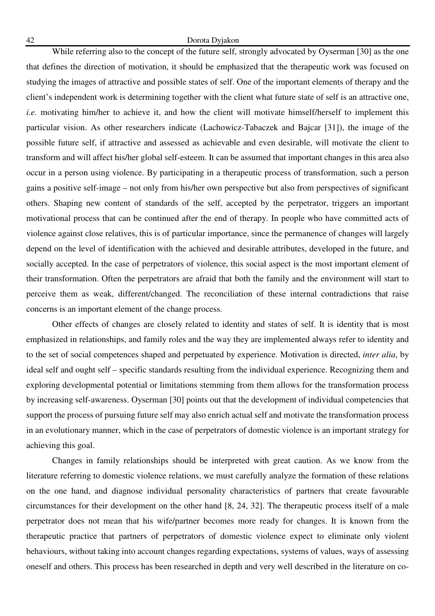#### 42 Dorota Dyjakon

While referring also to the concept of the future self, strongly advocated by Oyserman [30] as the one that defines the direction of motivation, it should be emphasized that the therapeutic work was focused on studying the images of attractive and possible states of self. One of the important elements of therapy and the client's independent work is determining together with the client what future state of self is an attractive one, *i.e.* motivating him/her to achieve it, and how the client will motivate himself/herself to implement this particular vision. As other researchers indicate (Lachowicz-Tabaczek and Bajcar [31]), the image of the possible future self, if attractive and assessed as achievable and even desirable, will motivate the client to transform and will affect his/her global self-esteem. It can be assumed that important changes in this area also occur in a person using violence. By participating in a therapeutic process of transformation, such a person gains a positive self-image – not only from his/her own perspective but also from perspectives of significant others. Shaping new content of standards of the self, accepted by the perpetrator, triggers an important motivational process that can be continued after the end of therapy. In people who have committed acts of violence against close relatives, this is of particular importance, since the permanence of changes will largely depend on the level of identification with the achieved and desirable attributes, developed in the future, and socially accepted. In the case of perpetrators of violence, this social aspect is the most important element of their transformation. Often the perpetrators are afraid that both the family and the environment will start to perceive them as weak, different/changed. The reconciliation of these internal contradictions that raise concerns is an important element of the change process.

Other effects of changes are closely related to identity and states of self. It is identity that is most emphasized in relationships, and family roles and the way they are implemented always refer to identity and to the set of social competences shaped and perpetuated by experience. Motivation is directed, *inter alia*, by ideal self and ought self – specific standards resulting from the individual experience. Recognizing them and exploring developmental potential or limitations stemming from them allows for the transformation process by increasing self-awareness. Oyserman [30] points out that the development of individual competencies that support the process of pursuing future self may also enrich actual self and motivate the transformation process in an evolutionary manner, which in the case of perpetrators of domestic violence is an important strategy for achieving this goal.

Changes in family relationships should be interpreted with great caution. As we know from the literature referring to domestic violence relations, we must carefully analyze the formation of these relations on the one hand, and diagnose individual personality characteristics of partners that create favourable circumstances for their development on the other hand [8, 24, 32]. The therapeutic process itself of a male perpetrator does not mean that his wife/partner becomes more ready for changes. It is known from the therapeutic practice that partners of perpetrators of domestic violence expect to eliminate only violent behaviours, without taking into account changes regarding expectations, systems of values, ways of assessing oneself and others. This process has been researched in depth and very well described in the literature on co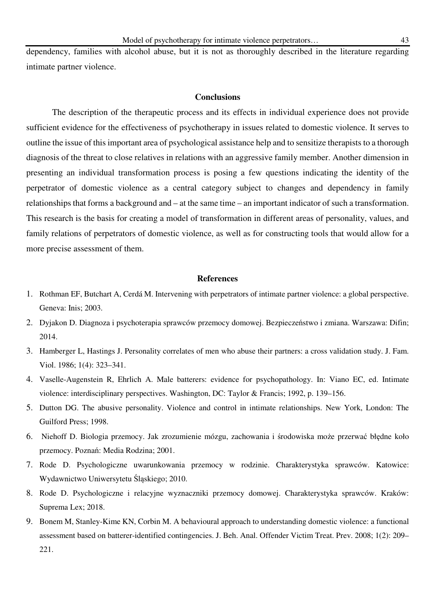dependency, families with alcohol abuse, but it is not as thoroughly described in the literature regarding intimate partner violence.

#### **Conclusions**

The description of the therapeutic process and its effects in individual experience does not provide sufficient evidence for the effectiveness of psychotherapy in issues related to domestic violence. It serves to outline the issue of this important area of psychological assistance help and to sensitize therapists to a thorough diagnosis of the threat to close relatives in relations with an aggressive family member. Another dimension in presenting an individual transformation process is posing a few questions indicating the identity of the perpetrator of domestic violence as a central category subject to changes and dependency in family relationships that forms a background and – at the same time – an important indicator of such a transformation. This research is the basis for creating a model of transformation in different areas of personality, values, and family relations of perpetrators of domestic violence, as well as for constructing tools that would allow for a more precise assessment of them.

#### **References**

- 1. Rothman EF, Butchart A, Cerdá M. Intervening with perpetrators of intimate partner violence: a global perspective. Geneva: Inis; 2003.
- 2. Dyjakon D. Diagnoza i psychoterapia sprawców przemocy domowej. Bezpieczeństwo i zmiana. Warszawa: Difin; 2014.
- 3. Hamberger L, Hastings J. Personality correlates of men who abuse their partners: a cross validation study. J. Fam. Viol. 1986; 1(4): 323–341.
- 4. Vaselle-Augenstein R, Ehrlich A. Male batterers: evidence for psychopathology. In: Viano EC, ed. Intimate violence: interdisciplinary perspectives. Washington, DC: Taylor & Francis; 1992, p. 139–156.
- 5. Dutton DG. The abusive personality. Violence and control in intimate relationships. New York, London: The Guilford Press; 1998.
- 6. Niehoff D. Biologia przemocy. Jak zrozumienie mózgu, zachowania i środowiska może przerwać błędne koło przemocy. Poznań: Media Rodzina; 2001.
- 7. Rode D. Psychologiczne uwarunkowania przemocy w rodzinie. Charakterystyka sprawców. Katowice: Wydawnictwo Uniwersytetu Śląskiego; 2010.
- 8. Rode D. Psychologiczne i relacyjne wyznaczniki przemocy domowej. Charakterystyka sprawców. Kraków: Suprema Lex; 2018.
- 9. Bonem M, Stanley-Kime KN, Corbin M. A behavioural approach to understanding domestic violence: a functional assessment based on batterer-identified contingencies. J. Beh. Anal. Offender Victim Treat. Prev. 2008; 1(2): 209– 221.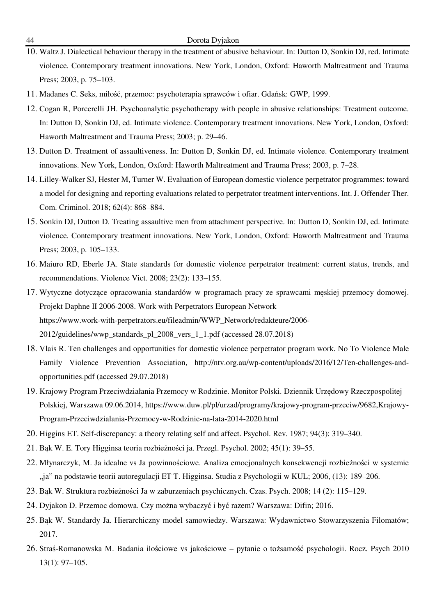- 10. Waltz J. Dialectical behaviour therapy in the treatment of abusive behaviour. In: Dutton D, Sonkin DJ, red. Intimate violence. Contemporary treatment innovations. New York, London, Oxford: Haworth Maltreatment and Trauma Press; 2003, p. 75–103.
- 11. Madanes C. Seks, miłość, przemoc: psychoterapia sprawców i ofiar. Gdańsk: GWP, 1999.
- 12. Cogan R, Porcerelli JH. Psychoanalytic psychotherapy with people in abusive relationships: Treatment outcome. In: Dutton D, Sonkin DJ, ed. Intimate violence. Contemporary treatment innovations. New York, London, Oxford: Haworth Maltreatment and Trauma Press; 2003; p. 29–46.
- 13. Dutton D. Treatment of assaultiveness. In: Dutton D, Sonkin DJ, ed. Intimate violence. Contemporary treatment innovations. New York, London, Oxford: Haworth Maltreatment and Trauma Press; 2003, p. 7–28.
- 14. Lilley-Walker SJ, Hester M, Turner W. Evaluation of European domestic violence perpetrator programmes: toward a model for designing and reporting evaluations related to perpetrator treatment interventions. Int. J. Offender Ther. Com. Criminol. 2018; 62(4): 868–884.
- 15. Sonkin DJ, Dutton D. Treating assaultive men from attachment perspective. In: Dutton D, Sonkin DJ, ed. Intimate violence. Contemporary treatment innovations. New York, London, Oxford: Haworth Maltreatment and Trauma Press; 2003, p. 105–133.
- 16. Maiuro RD, Eberle JA. State standards for domestic violence perpetrator treatment: current status, trends, and recommendations. Violence Vict. 2008; 23(2): 133–155.
- 17. Wytyczne dotyczące opracowania standardów w programach pracy ze sprawcami męskiej przemocy domowej. Projekt Daphne II 2006-2008. Work with Perpetrators European Network https://www.work-with-perpetrators.eu/fileadmin/WWP\_Network/redakteure/2006- 2012/guidelines/wwp\_standards\_pl\_2008\_vers\_1\_1.pdf (accessed 28.07.2018)
- 18. Vlais R. Ten challenges and opportunities for domestic violence perpetrator program work. No To Violence Male Family Violence Prevention Association, http://ntv.org.au/wp-content/uploads/2016/12/Ten-challenges-andopportunities.pdf (accessed 29.07.2018)
- 19. Krajowy Program Przeciwdziałania Przemocy w Rodzinie. Monitor Polski. Dziennik Urzędowy Rzeczpospolitej Polskiej, Warszawa 09.06.2014, https://www.duw.pl/pl/urzad/programy/krajowy-program-przeciw/9682,Krajowy-Program-Przeciwdzialania-Przemocy-w-Rodzinie-na-lata-2014-2020.html
- 20. Higgins ET. Self-discrepancy: a theory relating self and affect. Psychol. Rev. 1987; 94(3): 319–340.
- 21. Bąk W. E. Tory Higginsa teoria rozbieżności ja. Przegl. Psychol. 2002; 45(1): 39–55.
- 22. Młynarczyk, M. Ja idealne vs Ja powinnościowe. Analiza emocjonalnych konsekwencji rozbieżności w systemie "ja" na podstawie teorii autoregulacji ET T. Higginsa. Studia z Psychologii w KUL; 2006, (13): 189–206.
- 23. Bąk W. Struktura rozbieżności Ja w zaburzeniach psychicznych. Czas. Psych. 2008; 14 (2): 115–129.
- 24. Dyjakon D. Przemoc domowa. Czy można wybaczyć i być razem? Warszawa: Difin; 2016.
- 25. Bąk W. Standardy Ja. Hierarchiczny model samowiedzy. Warszawa: Wydawnictwo Stowarzyszenia Filomatów; 2017.
- 26. Straś-Romanowska M. Badania ilościowe vs jakościowe pytanie o tożsamość psychologii. Rocz. Psych 2010 13(1): 97–105.